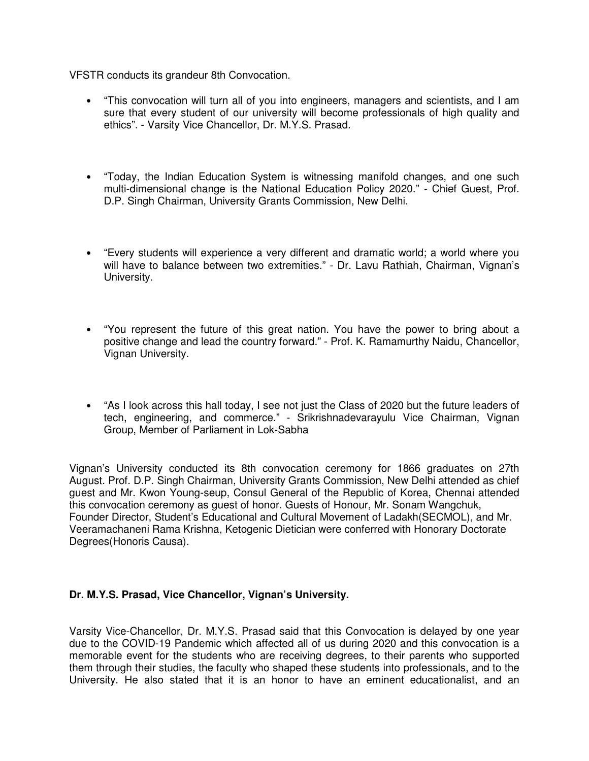VFSTR conducts its grandeur 8th Convocation.

- "This convocation will turn all of you into engineers, managers and scientists, and I am sure that every student of our university will become professionals of high quality and ethics". - Varsity Vice Chancellor, Dr. M.Y.S. Prasad.
- "Today, the Indian Education System is witnessing manifold changes, and one such multi-dimensional change is the National Education Policy 2020." - Chief Guest, Prof. D.P. Singh Chairman, University Grants Commission, New Delhi.
- "Every students will experience a very different and dramatic world; a world where you will have to balance between two extremities." - Dr. Lavu Rathiah, Chairman, Vignan's University.
- "You represent the future of this great nation. You have the power to bring about a positive change and lead the country forward." - Prof. K. Ramamurthy Naidu, Chancellor, Vignan University.
- "As I look across this hall today, I see not just the Class of 2020 but the future leaders of tech, engineering, and commerce." - Srikrishnadevarayulu Vice Chairman, Vignan Group, Member of Parliament in Lok-Sabha

Vignan's University conducted its 8th convocation ceremony for 1866 graduates on 27th August. Prof. D.P. Singh Chairman, University Grants Commission, New Delhi attended as chief guest and Mr. Kwon Young-seup, Consul General of the Republic of Korea, Chennai attended this convocation ceremony as guest of honor. Guests of Honour, Mr. Sonam Wangchuk, Founder Director, Student's Educational and Cultural Movement of Ladakh(SECMOL), and Mr. Veeramachaneni Rama Krishna, Ketogenic Dietician were conferred with Honorary Doctorate Degrees(Honoris Causa).

### **Dr. M.Y.S. Prasad, Vice Chancellor, Vignan's University.**

Varsity Vice-Chancellor, Dr. M.Y.S. Prasad said that this Convocation is delayed by one year due to the COVID-19 Pandemic which affected all of us during 2020 and this convocation is a memorable event for the students who are receiving degrees, to their parents who supported them through their studies, the faculty who shaped these students into professionals, and to the University. He also stated that it is an honor to have an eminent educationalist, and an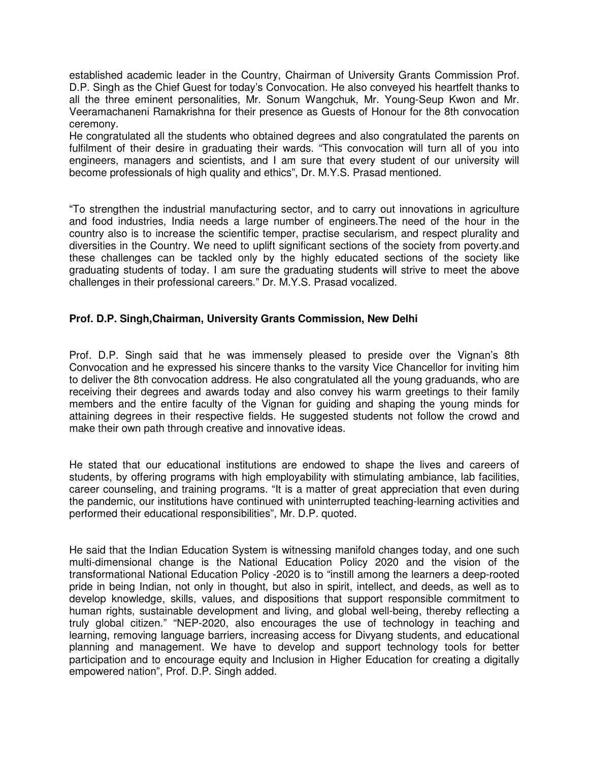established academic leader in the Country, Chairman of University Grants Commission Prof. D.P. Singh as the Chief Guest for today's Convocation. He also conveyed his heartfelt thanks to all the three eminent personalities, Mr. Sonum Wangchuk, Mr. Young-Seup Kwon and Mr. Veeramachaneni Ramakrishna for their presence as Guests of Honour for the 8th convocation ceremony.

He congratulated all the students who obtained degrees and also congratulated the parents on fulfilment of their desire in graduating their wards. "This convocation will turn all of you into engineers, managers and scientists, and I am sure that every student of our university will become professionals of high quality and ethics", Dr. M.Y.S. Prasad mentioned.

"To strengthen the industrial manufacturing sector, and to carry out innovations in agriculture and food industries, India needs a large number of engineers.The need of the hour in the country also is to increase the scientific temper, practise secularism, and respect plurality and diversities in the Country. We need to uplift significant sections of the society from poverty.and these challenges can be tackled only by the highly educated sections of the society like graduating students of today. I am sure the graduating students will strive to meet the above challenges in their professional careers." Dr. M.Y.S. Prasad vocalized.

### **Prof. D.P. Singh,Chairman, University Grants Commission, New Delhi**

Prof. D.P. Singh said that he was immensely pleased to preside over the Vignan's 8th Convocation and he expressed his sincere thanks to the varsity Vice Chancellor for inviting him to deliver the 8th convocation address. He also congratulated all the young graduands, who are receiving their degrees and awards today and also convey his warm greetings to their family members and the entire faculty of the Vignan for guiding and shaping the young minds for attaining degrees in their respective fields. He suggested students not follow the crowd and make their own path through creative and innovative ideas.

He stated that our educational institutions are endowed to shape the lives and careers of students, by offering programs with high employability with stimulating ambiance, lab facilities, career counseling, and training programs. "It is a matter of great appreciation that even during the pandemic, our institutions have continued with uninterrupted teaching-learning activities and performed their educational responsibilities", Mr. D.P. quoted.

He said that the Indian Education System is witnessing manifold changes today, and one such multi-dimensional change is the National Education Policy 2020 and the vision of the transformational National Education Policy -2020 is to "instill among the learners a deep-rooted pride in being Indian, not only in thought, but also in spirit, intellect, and deeds, as well as to develop knowledge, skills, values, and dispositions that support responsible commitment to human rights, sustainable development and living, and global well-being, thereby reflecting a truly global citizen." "NEP-2020, also encourages the use of technology in teaching and learning, removing language barriers, increasing access for Divyang students, and educational planning and management. We have to develop and support technology tools for better participation and to encourage equity and Inclusion in Higher Education for creating a digitally empowered nation", Prof. D.P. Singh added.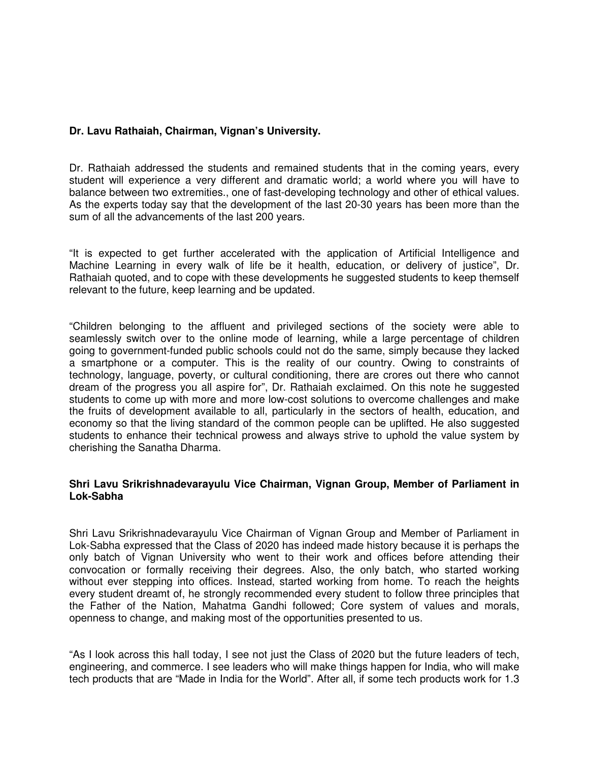# **Dr. Lavu Rathaiah, Chairman, Vignan's University.**

Dr. Rathaiah addressed the students and remained students that in the coming years, every student will experience a very different and dramatic world; a world where you will have to balance between two extremities., one of fast-developing technology and other of ethical values. As the experts today say that the development of the last 20-30 years has been more than the sum of all the advancements of the last 200 years.

"It is expected to get further accelerated with the application of Artificial Intelligence and Machine Learning in every walk of life be it health, education, or delivery of justice", Dr. Rathaiah quoted, and to cope with these developments he suggested students to keep themself relevant to the future, keep learning and be updated.

"Children belonging to the affluent and privileged sections of the society were able to seamlessly switch over to the online mode of learning, while a large percentage of children going to government-funded public schools could not do the same, simply because they lacked a smartphone or a computer. This is the reality of our country. Owing to constraints of technology, language, poverty, or cultural conditioning, there are crores out there who cannot dream of the progress you all aspire for", Dr. Rathaiah exclaimed. On this note he suggested students to come up with more and more low-cost solutions to overcome challenges and make the fruits of development available to all, particularly in the sectors of health, education, and economy so that the living standard of the common people can be uplifted. He also suggested students to enhance their technical prowess and always strive to uphold the value system by cherishing the Sanatha Dharma.

### **Shri Lavu Srikrishnadevarayulu Vice Chairman, Vignan Group, Member of Parliament in Lok-Sabha**

Shri Lavu Srikrishnadevarayulu Vice Chairman of Vignan Group and Member of Parliament in Lok-Sabha expressed that the Class of 2020 has indeed made history because it is perhaps the only batch of Vignan University who went to their work and offices before attending their convocation or formally receiving their degrees. Also, the only batch, who started working without ever stepping into offices. Instead, started working from home. To reach the heights every student dreamt of, he strongly recommended every student to follow three principles that the Father of the Nation, Mahatma Gandhi followed; Core system of values and morals, openness to change, and making most of the opportunities presented to us.

"As I look across this hall today, I see not just the Class of 2020 but the future leaders of tech, engineering, and commerce. I see leaders who will make things happen for India, who will make tech products that are "Made in India for the World". After all, if some tech products work for 1.3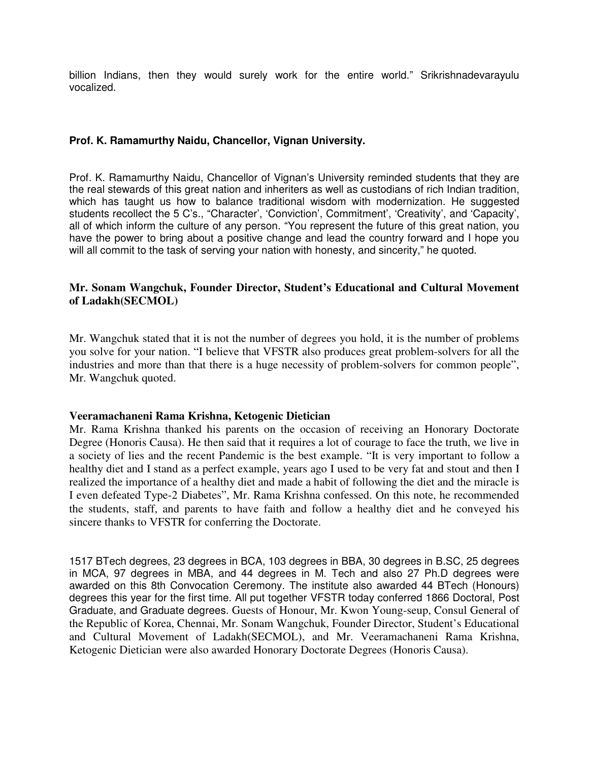billion Indians, then they would surely work for the entire world." Srikrishnadevarayulu vocalized.

# **Prof. K. Ramamurthy Naidu, Chancellor, Vignan University.**

Prof. K. Ramamurthy Naidu, Chancellor of Vignan's University reminded students that they are the real stewards of this great nation and inheriters as well as custodians of rich Indian tradition, which has taught us how to balance traditional wisdom with modernization. He suggested students recollect the 5 C's., "Character', 'Conviction', Commitment', 'Creativity', and 'Capacity', all of which inform the culture of any person. "You represent the future of this great nation, you have the power to bring about a positive change and lead the country forward and I hope you will all commit to the task of serving your nation with honesty, and sincerity," he quoted.

## **Mr. Sonam Wangchuk, Founder Director, Student's Educational and Cultural Movement of Ladakh(SECMOL)**

Mr. Wangchuk stated that it is not the number of degrees you hold, it is the number of problems you solve for your nation. "I believe that VFSTR also produces great problem-solvers for all the industries and more than that there is a huge necessity of problem-solvers for common people", Mr. Wangchuk quoted.

#### **Veeramachaneni Rama Krishna, Ketogenic Dietician**

Mr. Rama Krishna thanked his parents on the occasion of receiving an Honorary Doctorate Degree (Honoris Causa). He then said that it requires a lot of courage to face the truth, we live in a society of lies and the recent Pandemic is the best example. "It is very important to follow a healthy diet and I stand as a perfect example, years ago I used to be very fat and stout and then I realized the importance of a healthy diet and made a habit of following the diet and the miracle is I even defeated Type-2 Diabetes", Mr. Rama Krishna confessed. On this note, he recommended the students, staff, and parents to have faith and follow a healthy diet and he conveyed his sincere thanks to VFSTR for conferring the Doctorate.

1517 BTech degrees, 23 degrees in BCA, 103 degrees in BBA, 30 degrees in B.SC, 25 degrees in MCA, 97 degrees in MBA, and 44 degrees in M. Tech and also 27 Ph.D degrees were awarded on this 8th Convocation Ceremony. The institute also awarded 44 BTech (Honours) degrees this year for the first time. All put together VFSTR today conferred 1866 Doctoral, Post Graduate, and Graduate degrees. Guests of Honour, Mr. Kwon Young-seup, Consul General of the Republic of Korea, Chennai, Mr. Sonam Wangchuk, Founder Director, Student's Educational and Cultural Movement of Ladakh(SECMOL), and Mr. Veeramachaneni Rama Krishna, Ketogenic Dietician were also awarded Honorary Doctorate Degrees (Honoris Causa).